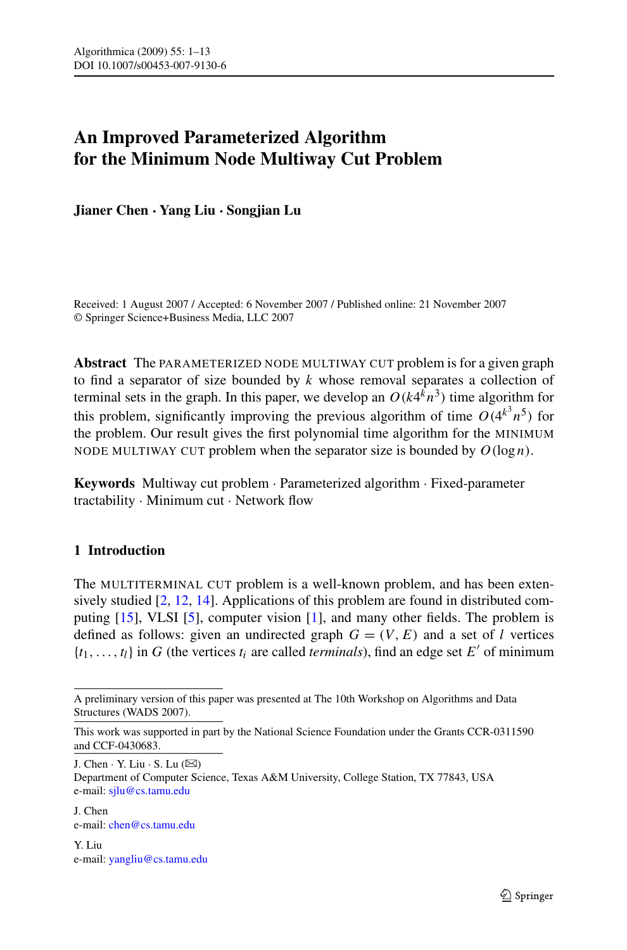# **An Improved Parameterized Algorithm for the Minimum Node Multiway Cut Problem**

**Jianer Chen · Yang Liu · Songjian Lu**

Received: 1 August 2007 / Accepted: 6 November 2007 / Published online: 21 November 2007 © Springer Science+Business Media, LLC 2007

**Abstract** The PARAMETERIZED NODE MULTIWAY CUT problem is for a given graph to find a separator of size bounded by *k* whose removal separates a collection of terminal sets in the graph. In this paper, we develop an  $O(k4\hat{k}n^3)$  time algorithm for this problem, significantly improving the previous algorithm of time  $O(4^{k^3}n^5)$  for the problem. Our result gives the first polynomial time algorithm for the MINIMUM NODE MULTIWAY CUT problem when the separator size is bounded by  $O(\log n)$ .

**Keywords** Multiway cut problem · Parameterized algorithm · Fixed-parameter tractability · Minimum cut · Network flow

## **1 Introduction**

The MULTITERMINAL CUT problem is a well-known problem, and has been extensively studied [\[2](#page-11-0), [12](#page-12-0), [14](#page-12-0)]. Applications of this problem are found in distributed computing [[15\]](#page-12-0), VLSI [[5\]](#page-11-0), computer vision [\[1](#page-11-0)], and many other fields. The problem is defined as follows: given an undirected graph  $G = (V, E)$  and a set of *l* vertices  $\{t_1, \ldots, t_l\}$  in *G* (the vertices  $t_i$  are called *terminals*), find an edge set *E'* of minimum

J. Chen  $\cdot$  Y. Liu  $\cdot$  S. Lu  $(\boxtimes)$ 

Department of Computer Science, Texas A&M University, College Station, TX 77843, USA e-mail: [sjlu@cs.tamu.edu](mailto:sjlu@cs.tamu.edu)

- J. Chen e-mail: [chen@cs.tamu.edu](mailto:chen@cs.tamu.edu)
- Y. Liu e-mail: [yangliu@cs.tamu.edu](mailto:yangliu@cs.tamu.edu)

A preliminary version of this paper was presented at The 10th Workshop on Algorithms and Data Structures (WADS 2007).

This work was supported in part by the National Science Foundation under the Grants CCR-0311590 and CCF-0430683.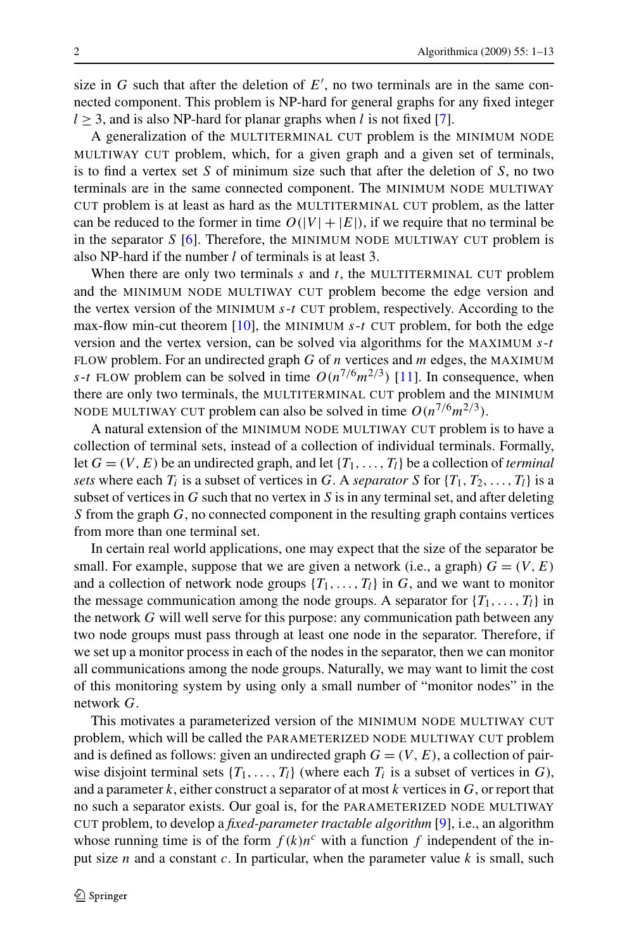size in  $G$  such that after the deletion of  $E'$ , no two terminals are in the same connected component. This problem is NP-hard for general graphs for any fixed integer  $l \geq 3$ , and is also NP-hard for planar graphs when *l* is not fixed [\[7](#page-11-0)].

A generalization of the MULTITERMINAL CUT problem is the MINIMUM NODE MULTIWAY CUT problem, which, for a given graph and a given set of terminals, is to find a vertex set *S* of minimum size such that after the deletion of *S*, no two terminals are in the same connected component. The MINIMUM NODE MULTIWAY CUT problem is at least as hard as the MULTITERMINAL CUT problem, as the latter can be reduced to the former in time  $O(|V| + |E|)$ , if we require that no terminal be in the separator  $S$  [\[6](#page-11-0)]. Therefore, the MINIMUM NODE MULTIWAY CUT problem is also NP-hard if the number *l* of terminals is at least 3.

When there are only two terminals *s* and *t*, the MULTITERMINAL CUT problem and the MINIMUM NODE MULTIWAY CUT problem become the edge version and the vertex version of the MINIMUM *s*-*t* CUT problem, respectively. According to the max-flow min-cut theorem [[10\]](#page-11-0), the MINIMUM *s*-*t* CUT problem, for both the edge version and the vertex version, can be solved via algorithms for the MAXIMUM *s*-*t* FLOW problem. For an undirected graph *G* of *n* vertices and *m* edges, the MAXIMUM *s*-*t* FLOW problem can be solved in time  $O(n^{7/6}m^{2/3})$  [\[11\]](#page-11-0). In consequence, when there are only two terminals, the MULTITERMINAL CUT problem and the MINIMUM NODE MULTIWAY CUT problem can also be solved in time  $O(n^{7/6}m^{2/3})$ .

A natural extension of the MINIMUM NODE MULTIWAY CUT problem is to have a collection of terminal sets, instead of a collection of individual terminals. Formally, let  $G = (V, E)$  be an undirected graph, and let  $\{T_1, \ldots, T_l\}$  be a collection of *terminal sets* where each  $T_i$  is a subset of vertices in G. A *separator* S for  $\{T_1, T_2, \ldots, T_l\}$  is a subset of vertices in *G* such that no vertex in *S* is in any terminal set, and after deleting *S* from the graph *G*, no connected component in the resulting graph contains vertices from more than one terminal set.

In certain real world applications, one may expect that the size of the separator be small. For example, suppose that we are given a network (i.e., a graph)  $G = (V, E)$ and a collection of network node groups  $\{T_1, \ldots, T_l\}$  in *G*, and we want to monitor the message communication among the node groups. A separator for  ${T_1, \ldots, T_l}$  in the network *G* will well serve for this purpose: any communication path between any two node groups must pass through at least one node in the separator. Therefore, if we set up a monitor process in each of the nodes in the separator, then we can monitor all communications among the node groups. Naturally, we may want to limit the cost of this monitoring system by using only a small number of "monitor nodes" in the network *G*.

This motivates a parameterized version of the MINIMUM NODE MULTIWAY CUT problem, which will be called the PARAMETERIZED NODE MULTIWAY CUT problem and is defined as follows: given an undirected graph  $G = (V, E)$ , a collection of pairwise disjoint terminal sets  $\{T_1, \ldots, T_l\}$  (where each  $T_i$  is a subset of vertices in *G*), and a parameter *k*, either construct a separator of at most *k* vertices in *G*, or report that no such a separator exists. Our goal is, for the PARAMETERIZED NODE MULTIWAY CUT problem, to develop a *fixed-parameter tractable algorithm* [\[9](#page-11-0)], i.e., an algorithm whose running time is of the form  $f(k)n<sup>c</sup>$  with a function  $f$  independent of the input size  $n$  and a constant  $c$ . In particular, when the parameter value  $k$  is small, such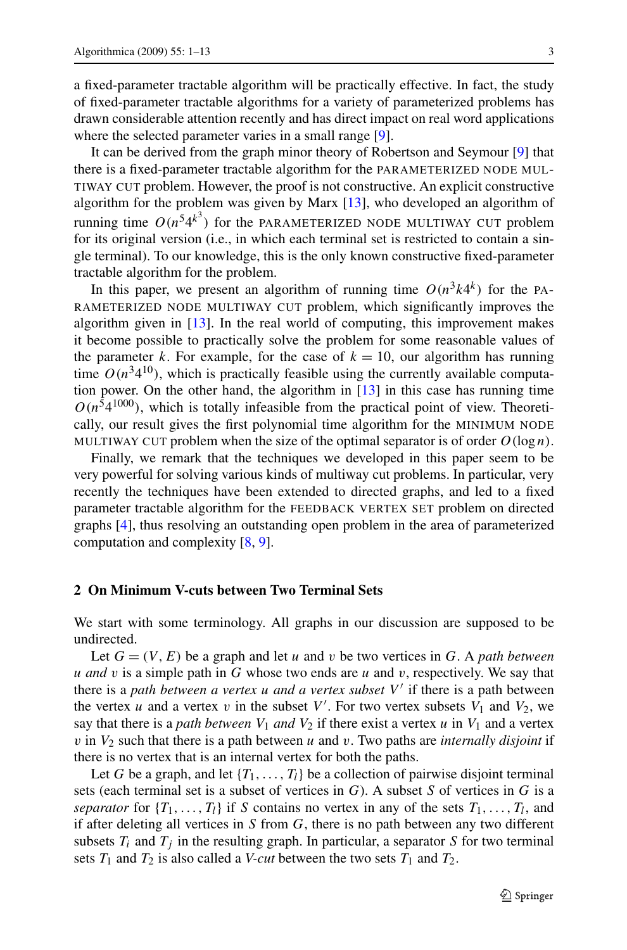a fixed-parameter tractable algorithm will be practically effective. In fact, the study of fixed-parameter tractable algorithms for a variety of parameterized problems has drawn considerable attention recently and has direct impact on real word applications where the selected parameter varies in a small range [\[9](#page-11-0)].

It can be derived from the graph minor theory of Robertson and Seymour [[9\]](#page-11-0) that there is a fixed-parameter tractable algorithm for the PARAMETERIZED NODE MUL-TIWAY CUT problem. However, the proof is not constructive. An explicit constructive algorithm for the problem was given by Marx [[13\]](#page-12-0), who developed an algorithm of running time  $O(n^54^{k^3})$  for the PARAMETERIZED NODE MULTIWAY CUT problem for its original version (i.e., in which each terminal set is restricted to contain a single terminal). To our knowledge, this is the only known constructive fixed-parameter tractable algorithm for the problem.

In this paper, we present an algorithm of running time  $O(n^3k4^k)$  for the PA-RAMETERIZED NODE MULTIWAY CUT problem, which significantly improves the algorithm given in [[13\]](#page-12-0). In the real world of computing, this improvement makes it become possible to practically solve the problem for some reasonable values of the parameter *k*. For example, for the case of  $k = 10$ , our algorithm has running time  $O(n^34^{10})$ , which is practically feasible using the currently available computation power. On the other hand, the algorithm in [\[13](#page-12-0)] in this case has running time  $O(n^{5}4^{1000})$ , which is totally infeasible from the practical point of view. Theoretically, our result gives the first polynomial time algorithm for the MINIMUM NODE MULTIWAY CUT problem when the size of the optimal separator is of order  $O(\log n)$ .

Finally, we remark that the techniques we developed in this paper seem to be very powerful for solving various kinds of multiway cut problems. In particular, very recently the techniques have been extended to directed graphs, and led to a fixed parameter tractable algorithm for the FEEDBACK VERTEX SET problem on directed graphs [\[4](#page-11-0)], thus resolving an outstanding open problem in the area of parameterized computation and complexity [\[8](#page-11-0), [9](#page-11-0)].

#### **2 On Minimum V-cuts between Two Terminal Sets**

We start with some terminology. All graphs in our discussion are supposed to be undirected.

Let  $G = (V, E)$  be a graph and let *u* and *v* be two vertices in *G*. A *path between u and v* is a simple path in *G* whose two ends are *u* and *v*, respectively. We say that there is a *path between a vertex*  $u$  *and a vertex subset*  $V'$  if there is a path between the vertex *u* and a vertex *v* in the subset *V'*. For two vertex subsets  $V_1$  and  $V_2$ , we say that there is a *path between*  $V_1$  *and*  $V_2$  if there exist a vertex *u* in  $V_1$  and a vertex *v* in *V*<sup>2</sup> such that there is a path between *u* and *v*. Two paths are *internally disjoint* if there is no vertex that is an internal vertex for both the paths.

Let *G* be a graph, and let  ${T_1, \ldots, T_l}$  be a collection of pairwise disjoint terminal sets (each terminal set is a subset of vertices in *G*). A subset *S* of vertices in *G* is a *separator* for  $\{T_1, \ldots, T_l\}$  if *S* contains no vertex in any of the sets  $T_1, \ldots, T_l$ , and if after deleting all vertices in *S* from *G*, there is no path between any two different subsets  $T_i$  and  $T_j$  in the resulting graph. In particular, a separator  $S$  for two terminal sets  $T_1$  and  $T_2$  is also called a *V-cut* between the two sets  $T_1$  and  $T_2$ .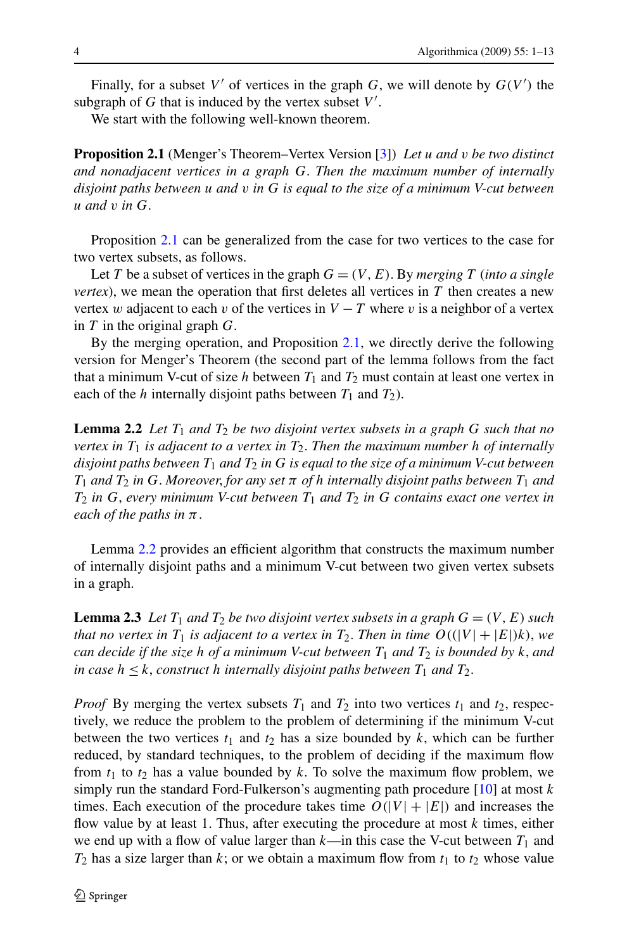<span id="page-3-0"></span>Finally, for a subset  $V'$  of vertices in the graph  $G$ , we will denote by  $G(V')$  the subgraph of  $G$  that is induced by the vertex subset  $V'$ .

We start with the following well-known theorem.

**Proposition 2.1** (Menger's Theorem–Vertex Version [\[3](#page-11-0)]) *Let u and v be two distinct and nonadjacent vertices in a graph G*. *Then the maximum number of internally disjoint paths between u and v in G is equal to the size of a minimum V-cut between u and v in G*.

Proposition 2.1 can be generalized from the case for two vertices to the case for two vertex subsets, as follows.

Let *T* be a subset of vertices in the graph  $G = (V, E)$ . By *merging T* (*into a single vertex*), we mean the operation that first deletes all vertices in  $T$  then creates a new vertex *w* adjacent to each *v* of the vertices in  $V - T$  where *v* is a neighbor of a vertex in *T* in the original graph *G*.

By the merging operation, and Proposition 2.1, we directly derive the following version for Menger's Theorem (the second part of the lemma follows from the fact that a minimum V-cut of size *h* between  $T_1$  and  $T_2$  must contain at least one vertex in each of the *h* internally disjoint paths between  $T_1$  and  $T_2$ ).

**Lemma 2.2** *Let T*<sup>1</sup> *and T*<sup>2</sup> *be two disjoint vertex subsets in a graph G such that no vertex in*  $T_1$  *is adjacent to a vertex in*  $T_2$ *. Then the maximum number h of internally disjoint paths between T*<sup>1</sup> *and T*<sup>2</sup> *in G is equal to the size of a minimum V-cut between T*<sub>1</sub> *and T*<sub>2</sub> *in G*. *Moreover, for any set*  $\pi$  *of h internally disjoint paths between T*<sub>1</sub> *and T*<sup>2</sup> *in G*, *every minimum V-cut between T*<sup>1</sup> *and T*<sup>2</sup> *in G contains exact one vertex in each of the paths in π*.

Lemma 2.2 provides an efficient algorithm that constructs the maximum number of internally disjoint paths and a minimum V-cut between two given vertex subsets in a graph.

**Lemma 2.3** *Let*  $T_1$  *and*  $T_2$  *be two disjoint vertex subsets in a graph*  $G = (V, E)$  *such that no vertex in*  $T_1$  *is adjacent to a vertex in*  $T_2$ *. Then in time*  $O((|V| + |E|)k)$ *, we can decide if the size h of a minimum V-cut between*  $T_1$  *and*  $T_2$  *is bounded by*  $k$ *, and in case*  $h \leq k$ , *construct h internally disjoint paths between*  $T_1$  *and*  $T_2$ *.* 

*Proof* By merging the vertex subsets  $T_1$  and  $T_2$  into two vertices  $t_1$  and  $t_2$ , respectively, we reduce the problem to the problem of determining if the minimum V-cut between the two vertices  $t_1$  and  $t_2$  has a size bounded by  $k$ , which can be further reduced, by standard techniques, to the problem of deciding if the maximum flow from  $t_1$  to  $t_2$  has a value bounded by  $k$ . To solve the maximum flow problem, we simply run the standard Ford-Fulkerson's augmenting path procedure [\[10](#page-11-0)] at most *k* times. Each execution of the procedure takes time  $O(|V| + |E|)$  and increases the flow value by at least 1. Thus, after executing the procedure at most *k* times, either we end up with a flow of value larger than  $k$ —in this case the V-cut between  $T_1$  and  $T_2$  has a size larger than *k*; or we obtain a maximum flow from  $t_1$  to  $t_2$  whose value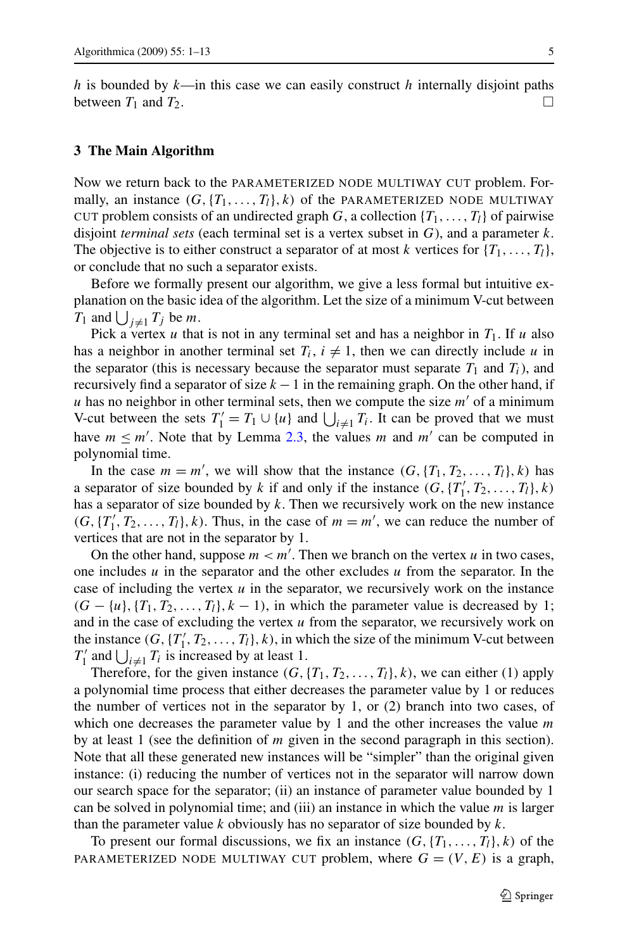*h* is bounded by *k*—in this case we can easily construct *h* internally disjoint paths between  $T_1$  and  $T_2$ .

## **3 The Main Algorithm**

Now we return back to the PARAMETERIZED NODE MULTIWAY CUT problem. Formally, an instance  $(G, \{T_1, \ldots, T_l\}, k)$  of the PARAMETERIZED NODE MULTIWAY CUT problem consists of an undirected graph *G*, a collection  $\{T_1, \ldots, T_l\}$  of pairwise disjoint *terminal sets* (each terminal set is a vertex subset in *G*), and a parameter *k*. The objective is to either construct a separator of at most *k* vertices for  $\{T_1, \ldots, T_l\}$ , or conclude that no such a separator exists.

Before we formally present our algorithm, we give a less formal but intuitive explanation on the basic idea of the algorithm. Let the size of a minimum V-cut between *T*<sub>1</sub> and  $\bigcup_{j\neq 1} T_j$  be *m*.

Pick a vertex  $u$  that is not in any terminal set and has a neighbor in  $T_1$ . If  $u$  also has a neighbor in another terminal set  $T_i$ ,  $i \neq 1$ , then we can directly include *u* in the separator (this is necessary because the separator must separate  $T_1$  and  $T_i$ ), and recursively find a separator of size  $k - 1$  in the remaining graph. On the other hand, if  *has no neighbor in other terminal sets, then we compute the size*  $m'$  *of a minimum* V-cut between the sets  $T'_1 = T_1 \cup \{u\}$  and  $\bigcup_{i \neq 1} T_i$ . It can be proved that we must have  $m \leq m'$ . Note that by Lemma [2.3,](#page-3-0) the values m and m' can be computed in polynomial time.

In the case  $m = m'$ , we will show that the instance  $(G, \{T_1, T_2, \ldots, T_l\}, k)$  has a separator of size bounded by *k* if and only if the instance  $(G, \{T'_1, T_2, \ldots, T_l\}, k)$ has a separator of size bounded by *k*. Then we recursively work on the new instance  $(G, \{T'_1, T_2, \ldots, T_l\}, k)$ . Thus, in the case of  $m = m'$ , we can reduce the number of vertices that are not in the separator by 1.

On the other hand, suppose  $m < m'$ . Then we branch on the vertex  $u$  in two cases, one includes *u* in the separator and the other excludes *u* from the separator. In the case of including the vertex  $u$  in the separator, we recursively work on the instance  $(G - \{u\}, \{T_1, T_2, \ldots, T_l\}, k - 1)$ , in which the parameter value is decreased by 1; and in the case of excluding the vertex  $u$  from the separator, we recursively work on the instance  $(G, \{T'_1, T_2, \ldots, T_l\}, k)$ , in which the size of the minimum V-cut between  $T'_1$  and  $\bigcup_{i \neq 1} T_i$  is increased by at least 1.

Therefore, for the given instance  $(G, \{T_1, T_2, \ldots, T_l\}, k)$ , we can either (1) apply a polynomial time process that either decreases the parameter value by 1 or reduces the number of vertices not in the separator by 1, or (2) branch into two cases, of which one decreases the parameter value by 1 and the other increases the value *m* by at least 1 (see the definition of *m* given in the second paragraph in this section). Note that all these generated new instances will be "simpler" than the original given instance: (i) reducing the number of vertices not in the separator will narrow down our search space for the separator; (ii) an instance of parameter value bounded by 1 can be solved in polynomial time; and (iii) an instance in which the value *m* is larger than the parameter value *k* obviously has no separator of size bounded by *k*.

To present our formal discussions, we fix an instance  $(G, \{T_1, \ldots, T_l\}, k)$  of the PARAMETERIZED NODE MULTIWAY CUT problem, where  $G = (V, E)$  is a graph,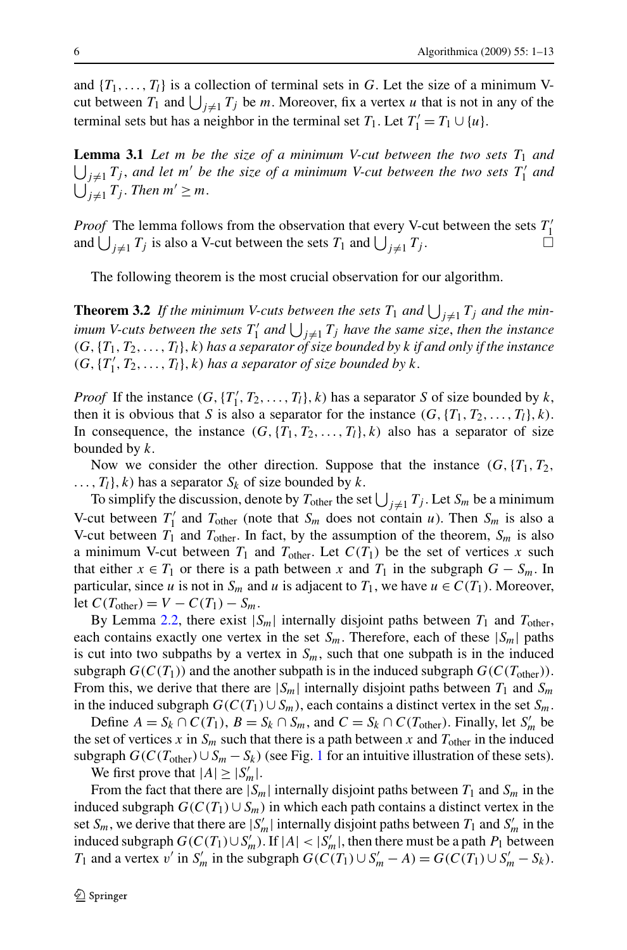<span id="page-5-0"></span>and  ${T_1, \ldots, T_l}$  is a collection of terminal sets in *G*. Let the size of a minimum Vcut between  $T_1$  and  $\bigcup_{j\neq 1} T_j$  be *m*. Moreover, fix a vertex *u* that is not in any of the terminal sets but has a neighbor in the terminal set  $T_1$ . Let  $T'_1 = T_1 \cup \{u\}$ .

 $\bigcup_{j\neq 1} T_j$ , and let m' be the size of a minimum V-cut between the two sets  $T'_1$  and **Lemma 3.1** Let *m* be the size of a minimum V-cut between the two sets  $T_1$  and  $\bigcup_{j\neq 1} T_j$ . *Then*  $m' \geq m$ .

*Proof* The lemma follows from the observation that every V-cut between the sets  $T_1$ and  $\bigcup_{j\neq 1} T_j$  is also a V-cut between the sets  $T_1$  and  $\bigcup_{j\neq 1} T_j$ .

The following theorem is the most crucial observation for our algorithm.

**Theorem 3.2** If the minimum V-cuts between the sets  $T_1$  and  $\bigcup_{j\neq 1} T_j$  and the min*imum V-cuts between the sets*  $T'_1$  *and*  $\bigcup_{j\neq 1} T_j$  *have the same size, then the instance*  $(G, {T_1, T_2, ..., T_l}, k)$  *has a separator of size bounded by k if and only if the instance*  $(G, \{T'_1, T_2, \ldots, T_l\}, k)$  *has a separator of size bounded by k*.

*Proof* If the instance  $(G, \{T'_1, T_2, ..., T_l\}, k)$  has a separator *S* of size bounded by *k*, then it is obvious that *S* is also a separator for the instance  $(G, \{T_1, T_2, \ldots, T_l\}, k)$ . In consequence, the instance  $(G, \{T_1, T_2, \ldots, T_l\}, k)$  also has a separator of size bounded by *k*.

Now we consider the other direction. Suppose that the instance  $(G, \{T_1, T_2, \}$  $\ldots$ ,  $T_l$ }, *k*) has a separator *S<sub>k</sub>* of size bounded by *k*.

To simplify the discussion, denote by  $T_{\text{other}}$  the set  $\bigcup_{j\neq 1} T_j$ . Let  $S_m$  be a minimum V-cut between  $T_1'$  and  $T_{other}$  (note that  $S_m$  does not contain *u*). Then  $S_m$  is also a V-cut between  $T_1$  and  $T_{other}$ . In fact, by the assumption of the theorem,  $S_m$  is also a minimum V-cut between  $T_1$  and  $T_{other}$ . Let  $C(T_1)$  be the set of vertices x such that either  $x \in T_1$  or there is a path between x and  $T_1$  in the subgraph  $G - S_m$ . In particular, since *u* is not in  $S_m$  and *u* is adjacent to  $T_1$ , we have  $u \in C(T_1)$ . Moreover,  $let C(T_{other}) = V - C(T_1) - S_m.$ 

By Lemma [2.2](#page-3-0), there exist  $|S_m|$  internally disjoint paths between  $T_1$  and  $T_{other}$ , each contains exactly one vertex in the set  $S_m$ . Therefore, each of these  $|S_m|$  paths is cut into two subpaths by a vertex in  $S_m$ , such that one subpath is in the induced subgraph  $G(C(T_1))$  and the another subpath is in the induced subgraph  $G(C(T_{other}))$ . From this, we derive that there are  $|S_m|$  internally disjoint paths between  $T_1$  and  $S_m$ in the induced subgraph  $G(C(T_1) \cup S_m)$ , each contains a distinct vertex in the set  $S_m$ .

Define  $A = S_k \cap C(T_1)$ ,  $B = S_k \cap S_m$ , and  $C = S_k \cap C(T_{other})$ . Finally, let  $S'_m$  be the set of vertices  $x$  in  $S_m$  such that there is a path between  $x$  and  $T_{other}$  in the induced subgraph  $G(C(T_{other}) \cup S_m - S_k)$  (see Fig. [1](#page-6-0) for an intuitive illustration of these sets).

We first prove that  $|A| \ge |S'_m|$ .

From the fact that there are  $|S_m|$  internally disjoint paths between  $T_1$  and  $S_m$  in the induced subgraph  $G(C(T_1) \cup S_m)$  in which each path contains a distinct vertex in the set  $S_m$ , we derive that there are  $|S'_m|$  internally disjoint paths between  $T_1$  and  $S'_m$  in the induced subgraph  $G(C(T_1) \cup S'_m)$ . If  $|A| < |S'_m|$ , then there must be a path  $P_1$  between *T*<sub>1</sub> and a vertex *v'* in *S'<sub>m</sub>* in the subgraph  $G(C(T_1) \cup S'_m - A) = G(C(T_1) \cup S'_m - S_k)$ .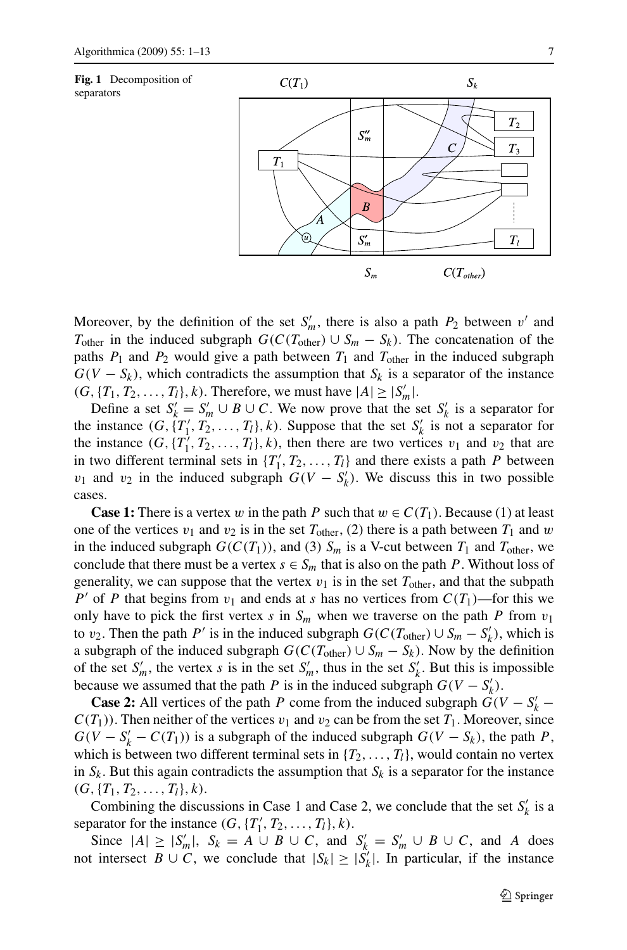<span id="page-6-0"></span>



Moreover, by the definition of the set  $S'_m$ , there is also a path  $P_2$  between  $v'$  and *T*<sub>other</sub> in the induced subgraph  $G(C(T_{other}) \cup S_m - S_k)$ . The concatenation of the paths  $P_1$  and  $P_2$  would give a path between  $T_1$  and  $T_{other}$  in the induced subgraph  $G(V - S_k)$ , which contradicts the assumption that  $S_k$  is a separator of the instance *(G,* {*T*<sub>1</sub>*, T*<sub>2</sub>*,...,T*<sub>l</sub>}*,k*)*.* Therefore, we must have  $|A| ≥ |S'_m|$ *.* 

Define a set  $S'_k = S'_m \cup B \cup C$ . We now prove that the set  $S'_k$  is a separator for the instance  $(G, \{T'_1, T_2, \ldots, T_l\}, k)$ . Suppose that the set  $S'_k$  is not a separator for the instance  $(G, \{T_1', T_2, \ldots, T_l\}, k)$ , then there are two vertices  $v_1$  and  $v_2$  that are in two different terminal sets in  $\{T_1', T_2, \ldots, T_l\}$  and there exists a path *P* between *v*<sub>1</sub> and *v*<sub>2</sub> in the induced subgraph  $G(V - S'_k)$ . We discuss this in two possible cases.

**Case 1:** There is a vertex *w* in the path *P* such that  $w \in C(T_1)$ . Because (1) at least one of the vertices  $v_1$  and  $v_2$  is in the set  $T_{other}$ , (2) there is a path between  $T_1$  and  $w$ in the induced subgraph  $G(C(T_1))$ , and (3)  $S_m$  is a V-cut between  $T_1$  and  $T_{other}$ , we conclude that there must be a vertex  $s \in S_m$  that is also on the path P. Without loss of generality, we can suppose that the vertex  $v_1$  is in the set  $T_{other}$ , and that the subpath *P*<sup> $\prime$ </sup> of *P* that begins from  $v_1$  and ends at *s* has no vertices from  $C(T_1)$ —for this we only have to pick the first vertex *s* in  $S_m$  when we traverse on the path *P* from  $v_1$ to *v*<sub>2</sub>. Then the path *P*<sup> $\prime$ </sup> is in the induced subgraph  $G(C(T_{other}) \cup S_m - S'_k)$ , which is a subgraph of the induced subgraph  $G(C(T_{other}) \cup S_m - S_k)$ . Now by the definition of the set  $S'_m$ , the vertex *s* is in the set  $S'_m$ , thus in the set  $S'_k$ . But this is impossible because we assumed that the path *P* is in the induced subgraph  $G(V - S'_k)$ .

**Case 2:** All vertices of the path *P* come from the induced subgraph  $\tilde{G}(V - S'_k - S'_k)$  $C(T_1)$ ). Then neither of the vertices  $v_1$  and  $v_2$  can be from the set  $T_1$ . Moreover, since  $G(V - S'_k - C(T_1))$  is a subgraph of the induced subgraph  $G(V - S_k)$ , the path *P*, which is between two different terminal sets in  ${T_2, \ldots, T_l}$ , would contain no vertex in  $S_k$ . But this again contradicts the assumption that  $S_k$  is a separator for the instance  $(G, \{T_1, T_2, \ldots, T_l\}, k).$ 

Combining the discussions in Case 1 and Case 2, we conclude that the set  $S'_k$  is a separator for the instance  $(G, \{T'_1, T_2, \ldots, T_l\}, k)$ .

Since  $|A| \geq |S'_m|$ ,  $S_k = A \cup B \cup C$ , and  $S'_k = S'_m \cup B \cup C$ , and *A* does not intersect  $B \cup C$ , we conclude that  $|S_k| \geq |S'_k|$ . In particular, if the instance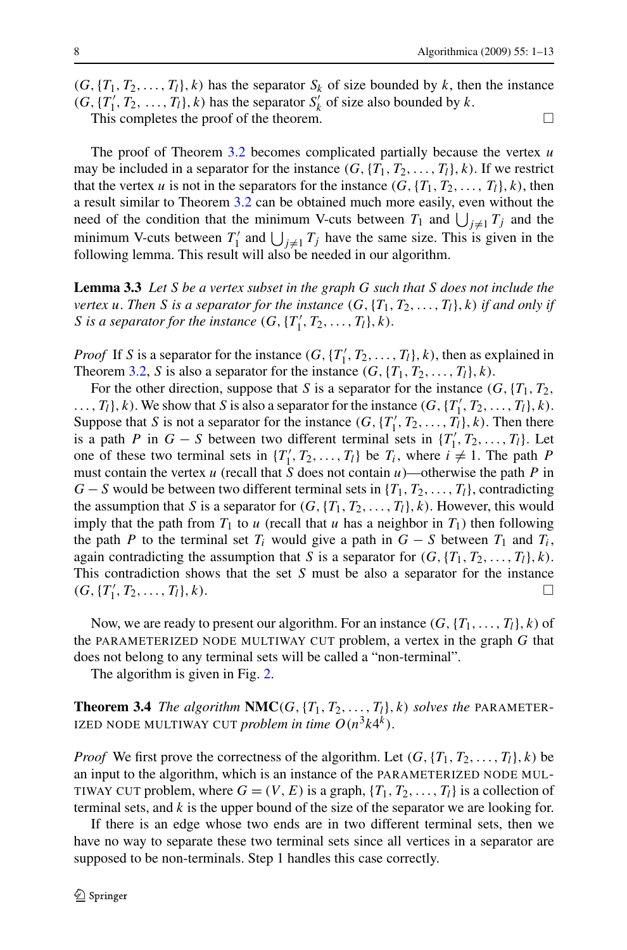<span id="page-7-0"></span> $(G, {T_1, T_2, ..., T_l}, k)$  has the separator  $S_k$  of size bounded by *k*, then the instance  $(G, \{T'_1, T_2, \ldots, T_l\}, k)$  has the separator  $S'_k$  of size also bounded by *k*.

This completes the proof of the theorem.  $\Box$ 

The proof of Theorem [3.2](#page-5-0) becomes complicated partially because the vertex *u* may be included in a separator for the instance  $(G, \{T_1, T_2, \ldots, T_l\}, k)$ . If we restrict that the vertex *u* is not in the separators for the instance  $(G, {T_1, T_2, ..., T_l}, k)$ , then a result similar to Theorem [3.2](#page-5-0) can be obtained much more easily, even without the need of the condition that the minimum V-cuts between  $T_1$  and  $\bigcup_{j \neq 1} T_j$  and the minimum V-cuts between  $T'_1$  and  $\bigcup_{j\neq 1} T_j$  have the same size. This is given in the following lemma. This result will also be needed in our algorithm.

**Lemma 3.3** *Let S be a vertex subset in the graph G such that S does not include the vertex u*. Then S is a separator for the instance  $(G, \{T_1, T_2, \ldots, T_l\}, k)$  if and only if *S is a separator for the instance*  $(G, \{T'_1, T_2, \ldots, T_l\}, k)$ .

*Proof* If *S* is a separator for the instance  $(G, \{T_1', T_2, \ldots, T_l\}, k)$ , then as explained in Theorem [3.2,](#page-5-0) *S* is also a separator for the instance  $(G, \{T_1, T_2, \ldots, T_l\}, k)$ .

For the other direction, suppose that *S* is a separator for the instance  $(G, \{T_1, T_2, \}$  $\ldots$ ,  $T_l$ }*,k*). We show that *S* is also a separator for the instance  $(G, \{T_1', T_2, \ldots, T_l\}, k)$ . Suppose that *S* is not a separator for the instance  $(G, \{T_1', T_2, \ldots, T_l\}, k)$ . Then there is a path *P* in  $G - S$  between two different terminal sets in  $\{T'_{1}, T_{2}, \ldots, T_{l}\}$ . Let one of these two terminal sets in  $\{T'_1, T_2, \ldots, T_l\}$  be  $T_i$ , where  $i \neq 1$ . The path *P* must contain the vertex *u* (recall that *S* does not contain *u*)—otherwise the path *P* in *G* − *S* would be between two different terminal sets in  ${T_1, T_2, ..., T_l}$ , contradicting the assumption that *S* is a separator for  $(G, \{T_1, T_2, \ldots, T_l\}, k)$ . However, this would imply that the path from  $T_1$  to *u* (recall that *u* has a neighbor in  $T_1$ ) then following the path *P* to the terminal set  $T_i$  would give a path in  $G - S$  between  $T_1$  and  $T_i$ , again contradicting the assumption that *S* is a separator for  $(G, {T_1, T_2, ..., T_l}, k)$ . This contradiction shows that the set *S* must be also a separator for the instance  $(G, \{T'_{1}, T_{2}, \ldots, T_{l}\}, k).$ 

Now, we are ready to present our algorithm. For an instance  $(G, \{T_1, \ldots, T_l\}, k)$  of the PARAMETERIZED NODE MULTIWAY CUT problem, a vertex in the graph *G* that does not belong to any terminal sets will be called a "non-terminal".

The algorithm is given in Fig. [2.](#page-8-0)

**Theorem 3.4** *The algorithm* **NMC** $(G, \{T_1, T_2, ..., T_l\}, k)$  *solves the* PARAMETER-IZED NODE MULTIWAY CUT *problem in time*  $O(n^3k4^k)$ .

*Proof* We first prove the correctness of the algorithm. Let  $(G, \{T_1, T_2, \ldots, T_l\}, k)$  be an input to the algorithm, which is an instance of the PARAMETERIZED NODE MUL-TIWAY CUT problem, where  $G = (V, E)$  is a graph,  $\{T_1, T_2, \ldots, T_l\}$  is a collection of terminal sets, and *k* is the upper bound of the size of the separator we are looking for.

If there is an edge whose two ends are in two different terminal sets, then we have no way to separate these two terminal sets since all vertices in a separator are supposed to be non-terminals. Step 1 handles this case correctly.

 $\mathcal{D}$  Springer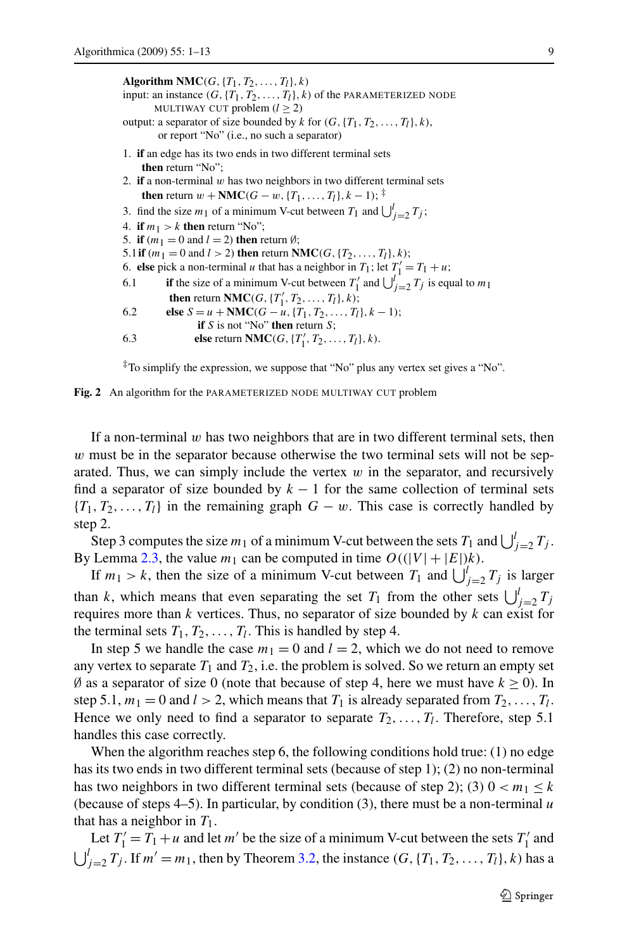<span id="page-8-0"></span>Algorithm  $NMC(G, {T_1, T_2, \ldots, T_l}, k)$ input: an instance  $(G, {T_1, T_2, ..., T_l}, k)$  of the PARAMETERIZED NODE MULTIWAY CUT problem  $(l \ge 2)$ output: a separator of size bounded by *k* for  $(G, \{T_1, T_2, \ldots, T_l\}, k)$ , or report "No" (i.e., no such a separator) 1. **if** an edge has its two ends in two different terminal sets **then** return "No"; 2. **if** a non-terminal *w* has two neighbors in two different terminal sets **then** return *w* + **NMC**(*G* − *w*, {*T*<sub>1</sub>*,...,T*<sub>l</sub>}*,k* − 1);<sup>‡</sup> 3. find the size  $m_1$  of a minimum V-cut between  $T_1$  and  $\bigcup_{j=2}^{l} T_j$ ; 4. **if**  $m_1 > k$  **then** return "No"; 5. **if**  $(m_1 = 0 \text{ and } l = 2)$  **then** return  $\emptyset$ ; 5.1 **if**  $(m_1 = 0 \text{ and } l > 2)$  **then** return **NMC** $(G, \{T_2, ..., T_l\}, k);$ 6. **else** pick a non-terminal *u* that has a neighbor in  $T_1$ ; let  $T'_1 = T_1 + u$ ; 6.1 **if** the size of a minimum V-cut between  $T'_1$  and  $\bigcup_{j=2}^{l} T_j$  is equal to  $m_1$ **then** return **NMC** $(G, \{T_1', T_2, ..., T_l\}, k)$ ; 6.2 **else**  $S = u + \text{NMC}(G - u, \{T_1, T_2, \ldots, T_l\}, k - 1);$ **if** *S* is not "No" **then** return *S*; 6.3 **else** return **NMC**(*G*,  $\{T'_1, T_2, ..., T_l\}, k$ ).

‡To simplify the expression, we suppose that "No" plus any vertex set gives a "No".

**Fig. 2** An algorithm for the PARAMETERIZED NODE MULTIWAY CUT problem

If a non-terminal  $w$  has two neighbors that are in two different terminal sets, then *w* must be in the separator because otherwise the two terminal sets will not be separated. Thus, we can simply include the vertex  $w$  in the separator, and recursively find a separator of size bounded by  $k - 1$  for the same collection of terminal sets  ${T_1, T_2, \ldots, T_l}$  in the remaining graph  $G - w$ . This case is correctly handled by step 2.

Step 3 computes the size  $m_1$  of a minimum V-cut between the sets  $T_1$  and  $\bigcup_{j=2}^{l} T_j$ . By Lemma [2.3](#page-3-0), the value  $m_1$  can be computed in time  $O((|V|+|E|)k)$ .

If  $m_1 > k$ , then the size of a minimum V-cut between  $T_1$  and  $\bigcup_{j=2}^{l} T_j$  is larger than *k*, which means that even separating the set  $T_1$  from the other sets  $\bigcup_{j=2}^{l} T_j$ requires more than *k* vertices. Thus, no separator of size bounded by *k* can exist for the terminal sets  $T_1, T_2, \ldots, T_l$ . This is handled by step 4.

In step 5 we handle the case  $m_1 = 0$  and  $l = 2$ , which we do not need to remove any vertex to separate  $T_1$  and  $T_2$ , i.e. the problem is solved. So we return an empty set  $\emptyset$  as a separator of size 0 (note that because of step 4, here we must have  $k \ge 0$ ). In step 5.1,  $m_1 = 0$  and  $l > 2$ , which means that  $T_1$  is already separated from  $T_2, \ldots, T_l$ . Hence we only need to find a separator to separate  $T_2, \ldots, T_l$ . Therefore, step 5.1 handles this case correctly.

When the algorithm reaches step 6, the following conditions hold true: (1) no edge has its two ends in two different terminal sets (because of step 1); (2) no non-terminal has two neighbors in two different terminal sets (because of step 2); (3)  $0 < m_1 \leq k$ (because of steps 4–5). In particular, by condition (3), there must be a non-terminal *u* that has a neighbor in *T*1.

Let  $T_1' = T_1 + u$  and let *m'* be the size of a minimum V-cut between the sets  $T_1'$  and  $\bigcup_{j=2}^{l} T_j$ . If  $m' = m_1$ , then by Theorem [3.2](#page-5-0), the instance  $(G, \{T_1, T_2, \ldots, T_l\}, k)$  has a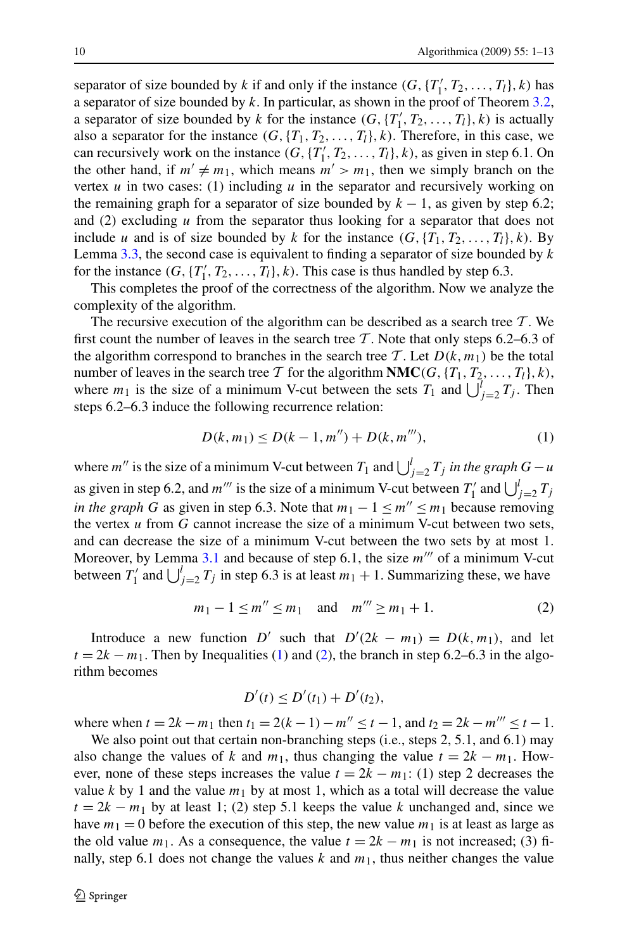separator of size bounded by *k* if and only if the instance  $(G, \{T'_1, T_2, ..., T_l\}, k)$  has a separator of size bounded by *k*. In particular, as shown in the proof of Theorem [3.2](#page-5-0), a separator of size bounded by *k* for the instance  $(G, \{T'_1, T_2, ..., T_l\}, k)$  is actually also a separator for the instance  $(G, \{T_1, T_2, \ldots, T_l\}, k)$ . Therefore, in this case, we can recursively work on the instance  $(G, \{T'_1, T_2, \ldots, T_l\}, k)$ , as given in step 6.1. On the other hand, if  $m' \neq m_1$ , which means  $m' > m_1$ , then we simply branch on the vertex  $u$  in two cases: (1) including  $u$  in the separator and recursively working on the remaining graph for a separator of size bounded by  $k - 1$ , as given by step 6.2; and (2) excluding *u* from the separator thus looking for a separator that does not include *u* and is of size bounded by *k* for the instance  $(G, \{T_1, T_2, \ldots, T_l\}, k)$ . By Lemma [3.3](#page-7-0), the second case is equivalent to finding a separator of size bounded by *k* for the instance  $(G, \{T'_1, T_2, \ldots, T_l\}, k)$ . This case is thus handled by step 6.3.

This completes the proof of the correctness of the algorithm. Now we analyze the complexity of the algorithm.

The recursive execution of the algorithm can be described as a search tree  $\mathcal T$ . We first count the number of leaves in the search tree  $\mathcal T$ . Note that only steps 6.2–6.3 of the algorithm correspond to branches in the search tree  $\mathcal{T}$ . Let  $D(k, m_1)$  be the total number of leaves in the search tree T for the algorithm **NMC**( $G$ ,  $\{T_1, T_2, \ldots, T_l\}$ ,  $k$ ), where  $m_1$  is the size of a minimum V-cut between the sets  $T_1$  and  $\bigcup_{j=2}^{l} T_j$ . Then steps 6.2–6.3 induce the following recurrence relation:

$$
D(k, m_1) \le D(k - 1, m'') + D(k, m'''),\tag{1}
$$

where *m*<sup>"</sup> is the size of a minimum V-cut between  $T_1$  and  $\bigcup_{j=2}^{l} T_j$  *in the graph*  $G - u$ as given in step 6.2, and *m*<sup>*m*</sup> is the size of a minimum V-cut between  $T'_1$  and  $\bigcup_{j=2}^{l} T_j$ *in the graph G* as given in step 6.3. Note that  $m_1 - 1 \le m'' \le m_1$  because removing the vertex *u* from *G* cannot increase the size of a minimum V-cut between two sets, and can decrease the size of a minimum V-cut between the two sets by at most 1. Moreover, by Lemma [3.1](#page-5-0) and because of step 6.1, the size  $m^{\prime\prime\prime}$  of a minimum V-cut between  $T'_1$  and  $\bigcup_{j=2}^{l} T_j$  in step 6.3 is at least  $m_1 + 1$ . Summarizing these, we have

$$
m_1 - 1 \le m'' \le m_1
$$
 and  $m''' \ge m_1 + 1.$  (2)

Introduce a new function *D'* such that  $D'(2k - m_1) = D(k, m_1)$ , and let  $t = 2k - m_1$ . Then by Inequalities (1) and (2), the branch in step 6.2–6.3 in the algorithm becomes

$$
D'(t) \le D'(t_1) + D'(t_2),
$$

where when  $t = 2k - m_1$  then  $t_1 = 2(k - 1) - m'' \le t - 1$ , and  $t_2 = 2k - m''' \le t - 1$ .

We also point out that certain non-branching steps (i.e., steps 2, 5.1, and 6.1) may also change the values of *k* and  $m_1$ , thus changing the value  $t = 2k - m_1$ . However, none of these steps increases the value  $t = 2k - m_1$ : (1) step 2 decreases the value *k* by 1 and the value  $m_1$  by at most 1, which as a total will decrease the value  $t = 2k - m_1$  by at least 1; (2) step 5.1 keeps the value k unchanged and, since we have  $m_1 = 0$  before the execution of this step, the new value  $m_1$  is at least as large as the old value  $m_1$ . As a consequence, the value  $t = 2k - m_1$  is not increased; (3) finally, step 6.1 does not change the values  $k$  and  $m_1$ , thus neither changes the value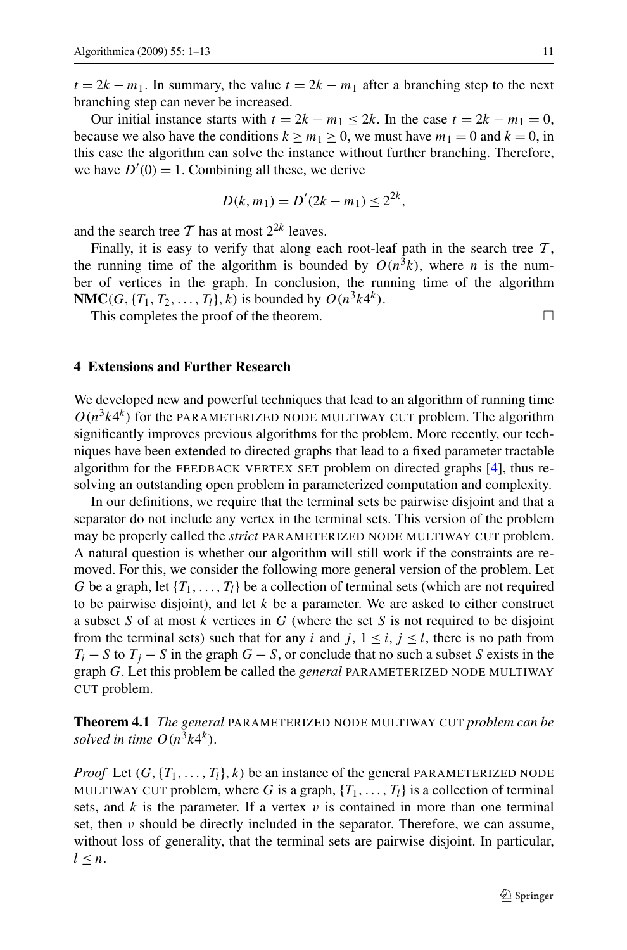$t = 2k - m_1$ . In summary, the value  $t = 2k - m_1$  after a branching step to the next branching step can never be increased.

Our initial instance starts with  $t = 2k - m_1 \leq 2k$ . In the case  $t = 2k - m_1 = 0$ , because we also have the conditions  $k \ge m_1 \ge 0$ , we must have  $m_1 = 0$  and  $k = 0$ , in this case the algorithm can solve the instance without further branching. Therefore, we have  $D'(0) = 1$ . Combining all these, we derive

$$
D(k, m_1) = D'(2k - m_1) \le 2^{2k},
$$

and the search tree  $T$  has at most  $2^{2k}$  leaves.

Finally, it is easy to verify that along each root-leaf path in the search tree  $\mathcal{T}$ , the running time of the algorithm is bounded by  $O(n^3k)$ , where *n* is the number of vertices in the graph. In conclusion, the running time of the algorithm **NMC**(*G*,  $\{T_1, T_2, ..., T_l\}$ *,k*) is bounded by  $O(n^3k4^k)$ .

This completes the proof of the theorem.  $\Box$ 

## **4 Extensions and Further Research**

We developed new and powerful techniques that lead to an algorithm of running time  $O(n^3k4^k)$  for the PARAMETERIZED NODE MULTIWAY CUT problem. The algorithm significantly improves previous algorithms for the problem. More recently, our techniques have been extended to directed graphs that lead to a fixed parameter tractable algorithm for the FEEDBACK VERTEX SET problem on directed graphs [\[4](#page-11-0)], thus resolving an outstanding open problem in parameterized computation and complexity.

In our definitions, we require that the terminal sets be pairwise disjoint and that a separator do not include any vertex in the terminal sets. This version of the problem may be properly called the *strict* PARAMETERIZED NODE MULTIWAY CUT problem. A natural question is whether our algorithm will still work if the constraints are removed. For this, we consider the following more general version of the problem. Let *G* be a graph, let  ${T_1, \ldots, T_l}$  be a collection of terminal sets (which are not required to be pairwise disjoint), and let *k* be a parameter. We are asked to either construct a subset *S* of at most *k* vertices in *G* (where the set *S* is not required to be disjoint from the terminal sets) such that for any *i* and  $j$ ,  $1 \le i$ ,  $j \le l$ , there is no path from  $T_i - S$  to  $T_j - S$  in the graph  $G - S$ , or conclude that no such a subset *S* exists in the graph *G*. Let this problem be called the *general* PARAMETERIZED NODE MULTIWAY CUT problem.

# **Theorem 4.1** *The general* PARAMETERIZED NODE MULTIWAY CUT *problem can be solved in time*  $O(n^3k4^k)$ .

*Proof* Let  $(G, \{T_1, \ldots, T_l\}, k)$  be an instance of the general PARAMETERIZED NODE MULTIWAY CUT problem, where *G* is a graph,  $\{T_1, \ldots, T_l\}$  is a collection of terminal sets, and  $k$  is the parameter. If a vertex  $v$  is contained in more than one terminal set, then  $\nu$  should be directly included in the separator. Therefore, we can assume, without loss of generality, that the terminal sets are pairwise disjoint. In particular,  $l \leq n$ .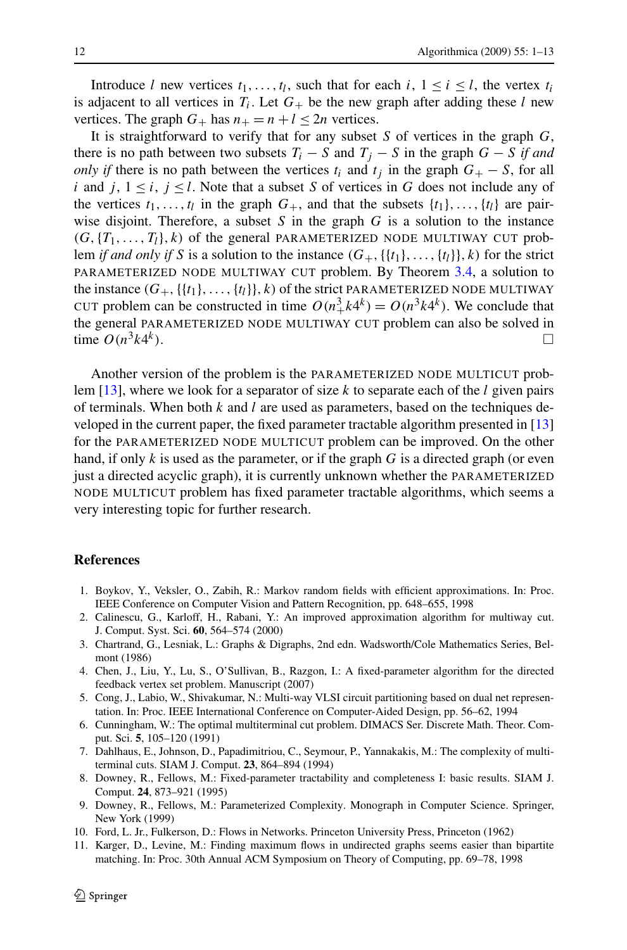<span id="page-11-0"></span>Introduce *l* new vertices  $t_1, \ldots, t_l$ , such that for each  $i, 1 \le i \le l$ , the vertex  $t_i$ is adjacent to all vertices in  $T_i$ . Let  $G_+$  be the new graph after adding these *l* new vertices. The graph  $G_+$  has  $n_+ = n + l \leq 2n$  vertices.

It is straightforward to verify that for any subset *S* of vertices in the graph *G*, there is no path between two subsets  $T_i - S$  and  $T_j - S$  in the graph  $G - S$  *if and only if* there is no path between the vertices  $t_i$  and  $t_j$  in the graph  $G_+ - S$ , for all *i* and *j*,  $1 \le i$ ,  $j \le l$ . Note that a subset *S* of vertices in *G* does not include any of the vertices  $t_1, \ldots, t_l$  in the graph  $G_+$ , and that the subsets  $\{t_1\}, \ldots, \{t_l\}$  are pairwise disjoint. Therefore, a subset  $S$  in the graph  $G$  is a solution to the instance  $(G, {T_1, \ldots, T_l}, k)$  of the general PARAMETERIZED NODE MULTIWAY CUT problem *if and only if S* is a solution to the instance  $(G_+, \{\{t_1\}, \ldots, \{t_l\}\}, k)$  for the strict PARAMETERIZED NODE MULTIWAY CUT problem. By Theorem [3.4](#page-7-0), a solution to the instance  $(G_+, \{\{t_1\}, \ldots, \{t_l\}\}, k)$  of the strict PARAMETERIZED NODE MULTIWAY CUT problem can be constructed in time  $O(n^3 + k^4) = O(n^3k^4)$ . We conclude that the general PARAMETERIZED NODE MULTIWAY CUT problem can also be solved in time  $O(n^3k4^k)$ .

Another version of the problem is the PARAMETERIZED NODE MULTICUT problem [\[13](#page-12-0)], where we look for a separator of size *k* to separate each of the *l* given pairs of terminals. When both *k* and *l* are used as parameters, based on the techniques developed in the current paper, the fixed parameter tractable algorithm presented in [\[13](#page-12-0)] for the PARAMETERIZED NODE MULTICUT problem can be improved. On the other hand, if only *k* is used as the parameter, or if the graph *G* is a directed graph (or even just a directed acyclic graph), it is currently unknown whether the PARAMETERIZED NODE MULTICUT problem has fixed parameter tractable algorithms, which seems a very interesting topic for further research.

#### **References**

- 1. Boykov, Y., Veksler, O., Zabih, R.: Markov random fields with efficient approximations. In: Proc. IEEE Conference on Computer Vision and Pattern Recognition, pp. 648–655, 1998
- 2. Calinescu, G., Karloff, H., Rabani, Y.: An improved approximation algorithm for multiway cut. J. Comput. Syst. Sci. **60**, 564–574 (2000)
- 3. Chartrand, G., Lesniak, L.: Graphs & Digraphs, 2nd edn. Wadsworth/Cole Mathematics Series, Belmont (1986)
- 4. Chen, J., Liu, Y., Lu, S., O'Sullivan, B., Razgon, I.: A fixed-parameter algorithm for the directed feedback vertex set problem. Manuscript (2007)
- 5. Cong, J., Labio, W., Shivakumar, N.: Multi-way VLSI circuit partitioning based on dual net representation. In: Proc. IEEE International Conference on Computer-Aided Design, pp. 56–62, 1994
- 6. Cunningham, W.: The optimal multiterminal cut problem. DIMACS Ser. Discrete Math. Theor. Comput. Sci. **5**, 105–120 (1991)
- 7. Dahlhaus, E., Johnson, D., Papadimitriou, C., Seymour, P., Yannakakis, M.: The complexity of multiterminal cuts. SIAM J. Comput. **23**, 864–894 (1994)
- 8. Downey, R., Fellows, M.: Fixed-parameter tractability and completeness I: basic results. SIAM J. Comput. **24**, 873–921 (1995)
- 9. Downey, R., Fellows, M.: Parameterized Complexity. Monograph in Computer Science. Springer, New York (1999)
- 10. Ford, L. Jr., Fulkerson, D.: Flows in Networks. Princeton University Press, Princeton (1962)
- 11. Karger, D., Levine, M.: Finding maximum flows in undirected graphs seems easier than bipartite matching. In: Proc. 30th Annual ACM Symposium on Theory of Computing, pp. 69–78, 1998